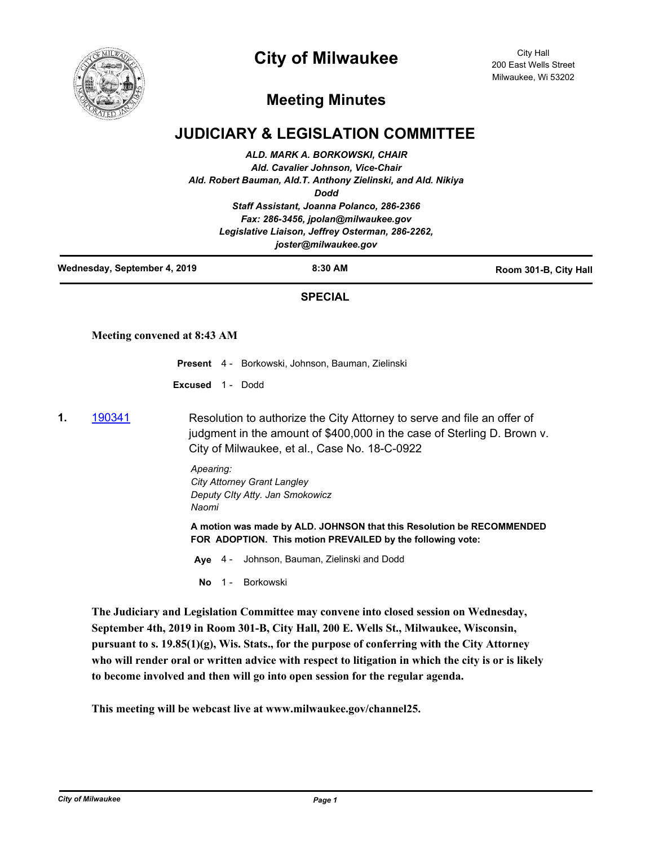

# **City of Milwaukee**

City Hall 200 East Wells Street Milwaukee, Wi 53202

## **Meeting Minutes**

### **JUDICIARY & LEGISLATION COMMITTEE**

*ALD. MARK A. BORKOWSKI, CHAIR Ald. Cavalier Johnson, Vice-Chair Ald. Robert Bauman, Ald.T. Anthony Zielinski, and Ald. Nikiya Dodd Staff Assistant, Joanna Polanco, 286-2366 Fax: 286-3456, jpolan@milwaukee.gov Legislative Liaison, Jeffrey Osterman, 286-2262, joster@milwaukee.gov*

| Wednesday, September 4, 2019 | 8:30 AM | Room 301-B, City Hall |
|------------------------------|---------|-----------------------|
|                              |         |                       |

### **SPECIAL**

#### **Meeting convened at 8:43 AM**

|                         | <b>Present</b> 4 - Borkowski, Johnson, Bauman, Zielinski |
|-------------------------|----------------------------------------------------------|
| <b>Excused</b> 1 - Dodd |                                                          |

**1.** [190341](http://milwaukee.legistar.com/gateway.aspx?m=l&id=/matter.aspx?key=51813) Resolution to authorize the City Attorney to serve and file an offer of judgment in the amount of \$400,000 in the case of Sterling D. Brown v. City of Milwaukee, et al., Case No. 18-C-0922

> *Apearing: City Attorney Grant Langley Deputy CIty Atty. Jan Smokowicz Naomi*

**A motion was made by ALD. JOHNSON that this Resolution be RECOMMENDED FOR ADOPTION. This motion PREVAILED by the following vote:**

**Aye** 4 - Johnson, Bauman, Zielinski and Dodd

**No** 1 - Borkowski

**The Judiciary and Legislation Committee may convene into closed session on Wednesday, September 4th, 2019 in Room 301-B, City Hall, 200 E. Wells St., Milwaukee, Wisconsin, pursuant to s. 19.85(1)(g), Wis. Stats., for the purpose of conferring with the City Attorney who will render oral or written advice with respect to litigation in which the city is or is likely to become involved and then will go into open session for the regular agenda.**

**This meeting will be webcast live at www.milwaukee.gov/channel25.**